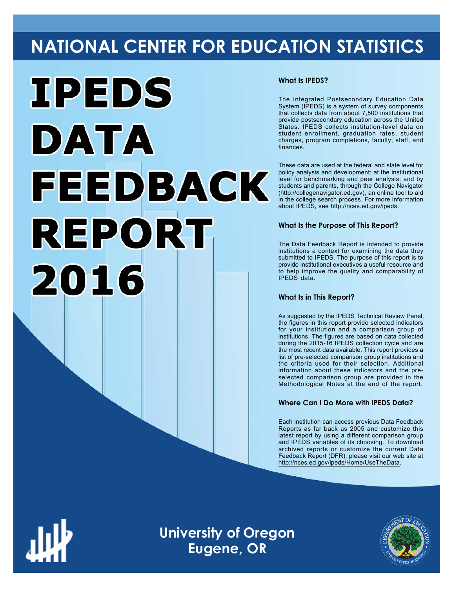# **NATIONAL CENTER FOR EDUCATION STATISTICS**



### **What Is IPEDS?**

The Integrated Postsecondary Education Data System (IPEDS) is a system of survey components that collects data from about 7,500 institutions that provide postsecondary education across the United States. IPEDS collects institution-level data on student enrollment, graduation rates, student charges, program completions, faculty, staff, and finances.

These data are used at the federal and state level for policy analysis and development; at the institutional level for benchmarking and peer analysis; and by students and parents, through the College Navigator ([http://collegenavigator.ed.gov\)](http://collegenavigator.ed.gov), an online tool to aid in the college search process. For more information about IPEDS, see [http://nces.ed.gov/ipeds.](http://nces.ed.gov/ipeds)

## **What Is the Purpose of This Report?**

The Data Feedback Report is intended to provide institutions a context for examining the data they submitted to IPEDS. The purpose of this report is to provide institutional executives a useful resource and to help improve the quality and comparability of IPEDS data.

### **What Is in This Report?**

As suggested by the IPEDS Technical Review Panel, the figures in this report provide selected indicators for your institution and a comparison group of institutions. The figures are based on data collected during the 2015-16 IPEDS collection cycle and are the most recent data available. This report provides a list of pre-selected comparison group institutions and the criteria used for their selection. Additional information about these indicators and the preselected comparison group are provided in the Methodological Notes at the end of the report.

# **Where Can I Do More with IPEDS Data?**

Each institution can access previous Data Feedback Reports as far back as 2005 and customize this latest report by using a different comparison group and IPEDS variables of its choosing. To download archived reports or customize the current Data Feedback Report (DFR), please visit our web site at [http://nces.ed.gov/ipeds/Home/UseTheData.](http://nces.ed.gov/ipeds/Home/UseTheData)



**University of Oregon Eugene, OR**

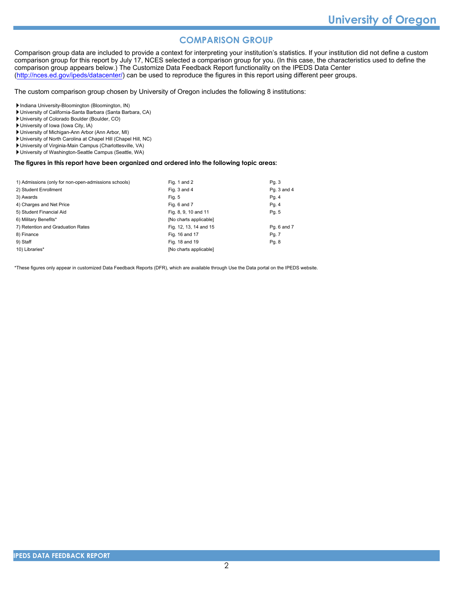# **COMPARISON GROUP**

Comparison group data are included to provide a context for interpreting your institution's statistics. If your institution did not define a custom comparison group for this report by July 17, NCES selected a comparison group for you. (In this case, the characteristics used to define the comparison group appears below.) The Customize Data Feedback Report functionality on the IPEDS Data Center [\(http://nces.ed.gov/ipeds/datacenter/\)](http://nces.ed.gov/ipeds/datacenter/) can be used to reproduce the figures in this report using different peer groups.

The custom comparison group chosen by University of Oregon includes the following 8 institutions:

Indiana University-Bloomington (Bloomington, IN)

- University of California-Santa Barbara (Santa Barbara, CA)
- University of Colorado Boulder (Boulder, CO)
- University of Iowa (Iowa City, IA)
- University of Michigan-Ann Arbor (Ann Arbor, MI)
- University of North Carolina at Chapel Hill (Chapel Hill, NC)
- University of Virginia-Main Campus (Charlottesville, VA)
- University of Washington-Seattle Campus (Seattle, WA)

#### **The figures in this report have been organized and ordered into the following topic areas:**

| 1) Admissions (only for non-open-admissions schools) | Fig. 1 and 2           | Pg. 3       |
|------------------------------------------------------|------------------------|-------------|
| 2) Student Enrollment                                | Fig. 3 and 4           | Pg. 3 and 4 |
| 3) Awards                                            | Fig. 5                 | Pg. 4       |
| 4) Charges and Net Price                             | Fig. 6 and 7           | Pg. 4       |
| 5) Student Financial Aid                             | Fig. 8, 9, 10 and 11   | Pg. 5       |
| 6) Military Benefits*                                | [No charts applicable] |             |
| 7) Retention and Graduation Rates                    | Fig. 12, 13, 14 and 15 | Pq. 6 and 7 |
| 8) Finance                                           | Fig. 16 and 17         | Pg. 7       |
| 9) Staff                                             | Fig. 18 and 19         | Pg. 8       |
| 10) Libraries*                                       | [No charts applicable] |             |

\*These figures only appear in customized Data Feedback Reports (DFR), which are available through Use the Data portal on the IPEDS website.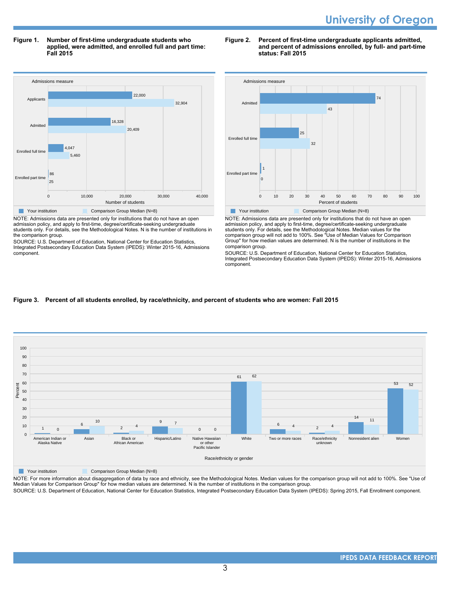**Figure 1. Number of first-time undergraduate students who applied, were admitted, and enrolled full and part time: Fall 2015**



NOTE: Admissions data are presented only for institutions that do not have an open admission policy, and apply to first-time, degree/certificate-seeking undergraduate students only. For details, see the Methodological Notes. N is the number of institutions in the comparison group.

SOURCE: U.S. Department of Education, National Center for Education Statistics, Integrated Postsecondary Education Data System (IPEDS): Winter 2015-16, Admissions component.





NOTE: Admissions data are presented only for institutions that do not have an open admission policy, and apply to first-time, degree/certificate-seeking undergraduate students only. For details, see the Methodological Notes. Median values for the comparison group will not add to 100%. See "Use of Median Values for Comparison Group" for how median values are determined. N is the number of institutions in the comparison group.

SOURCE: U.S. Department of Education, National Center for Education Statistics, Integrated Postsecondary Education Data System (IPEDS): Winter 2015-16, Admissions component.

#### **Figure 3. Percent of all students enrolled, by race/ethnicity, and percent of students who are women: Fall 2015**



**The Vour institution Comparison Group Median (N=8)** 

NOTE: For more information about disaggregation of data by race and ethnicity, see the Methodological Notes. Median values for the comparison group will not add to 100%. See "Use of Median Values for Comparison Group" for how median values are determined. N is the number of institutions in the comparison group.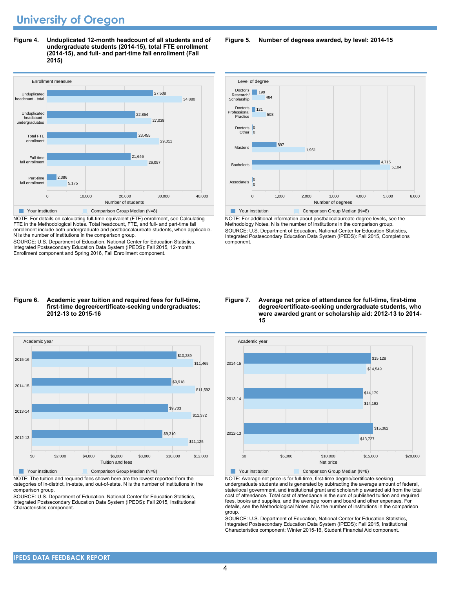**Figure 4. Unduplicated 12-month headcount of all students and of undergraduate students (2014-15), total FTE enrollment (2014-15), and full- and part-time fall enrollment (Fall 2015)**



NOTE: For details on calculating full-time equivalent (FTE) enrollment, see Calculating FTE in the Methodological Notes. Total headcount, FTE, and full- and part-time fall enrollment include both undergraduate and postbaccalaureate students, when applicable. N is the number of institutions in the comparison group.

SOURCE: U.S. Department of Education, National Center for Education Statistics, Integrated Postsecondary Education Data System (IPEDS): Fall 2015, 12-month Enrollment component and Spring 2016, Fall Enrollment component.

#### **Figure 6. Academic year tuition and required fees for full-time, first-time degree/certificate-seeking undergraduates: 2012-13 to 2015-16**



NOTE: The tuition and required fees shown here are the lowest reported from the categories of in-district, in-state, and out-of-state. N is the number of institutions in the comparison group.

SOURCE: U.S. Department of Education, National Center for Education Statistics, Integrated Postsecondary Education Data System (IPEDS): Fall 2015, Institutional Characteristics component.

**Figure 5. Number of degrees awarded, by level: 2014-15**



NOTE: For additional information about postbaccalaureate degree levels, see the Methodology Notes. N is the number of institutions in the comparison group. SOURCE: U.S. Department of Education, National Center for Education Statistics, Integrated Postsecondary Education Data System (IPEDS): Fall 2015, Completions component.





Your institution Comparison Group Median (N=8)

NOTE: Average net price is for full-time, first-time degree/certificate-seeking undergraduate students and is generated by subtracting the average amount of federal, state/local government, and institutional grant and scholarship awarded aid from the total cost of attendance. Total cost of attendance is the sum of published tuition and required fees, books and supplies, and the average room and board and other expenses. For details, see the Methodological Notes. N is the number of institutions in the comparison group.

SOURCE: U.S. Department of Education, National Center for Education Statistics, Integrated Postsecondary Education Data System (IPEDS): Fall 2015, Institutional Characteristics component; Winter 2015-16, Student Financial Aid component.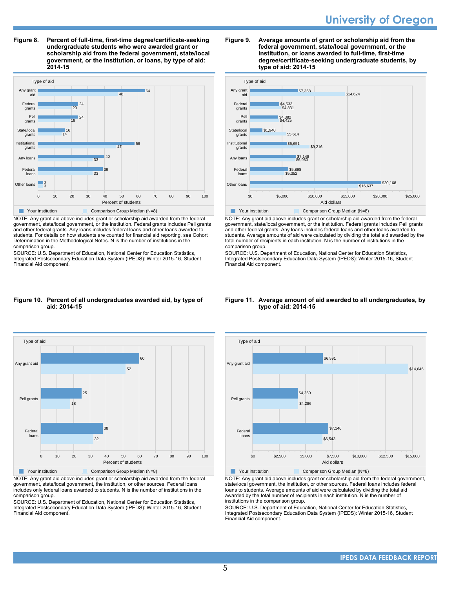**Figure 8. Percent of full-time, first-time degree/certificate-seeking undergraduate students who were awarded grant or scholarship aid from the federal government, state/local government, or the institution, or loans, by type of aid: 2014-15**



NOTE: Any grant aid above includes grant or scholarship aid awarded from the federal government, state/local government, or the institution. Federal grants includes Pell grants and other federal grants. Any loans includes federal loans and other loans awarded to students. For details on how students are counted for financial aid reporting, see Cohort Determination in the Methodological Notes. N is the number of institutions in the comparison group.

SOURCE: U.S. Department of Education, National Center for Education Statistics, Integrated Postsecondary Education Data System (IPEDS): Winter 2015-16, Student Financial Aid component.

#### **Figure 9. Average amounts of grant or scholarship aid from the federal government, state/local government, or the institution, or loans awarded to full-time, first-time degree/certificate-seeking undergraduate students, by type of aid: 2014-15**



NOTE: Any grant aid above includes grant or scholarship aid awarded from the federal government, state/local government, or the institution. Federal grants includes Pell grants and other federal grants. Any loans includes federal loans and other loans awarded to students. Average amounts of aid were calculated by dividing the total aid awarded by the total number of recipients in each institution. N is the number of institutions in the comparison group.

SOURCE: U.S. Department of Education, National Center for Education Statistics, Integrated Postsecondary Education Data System (IPEDS): Winter 2015-16, Student Financial Aid component.

#### **Figure 10. Percent of all undergraduates awarded aid, by type of aid: 2014-15**



NOTE: Any grant aid above includes grant or scholarship aid awarded from the federal government, state/local government, the institution, or other sources. Federal loans includes only federal loans awarded to students. N is the number of institutions in the comparison group.

SOURCE: U.S. Department of Education, National Center for Education Statistics, Integrated Postsecondary Education Data System (IPEDS): Winter 2015-16, Student Financial Aid component.

#### **Figure 11. Average amount of aid awarded to all undergraduates, by type of aid: 2014-15**



NOTE: Any grant aid above includes grant or scholarship aid from the federal government, state/local government, the institution, or other sources. Federal loans includes federal loans to students. Average amounts of aid were calculated by dividing the total aid awarded by the total number of recipients in each institution. N is the number of institutions in the comparison group.

SOURCE: U.S. Department of Education, National Center for Education Statistics, Integrated Postsecondary Education Data System (IPEDS): Winter 2015-16, Student Financial Aid component.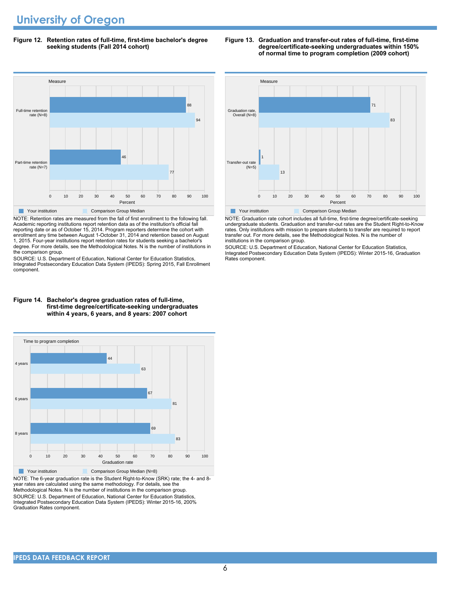**Figure 12. Retention rates of full-time, first-time bachelor's degree seeking students (Fall 2014 cohort)**



NOTE: Retention rates are measured from the fall of first enrollment to the following fall. Academic reporting institutions report retention data as of the institution's official fall reporting date or as of October 15, 2014. Program reporters determine the cohort with enrollment any time between August 1-October 31, 2014 and retention based on August 1, 2015. Four-year institutions report retention rates for students seeking a bachelor's degree. For more details, see the Methodological Notes. N is the number of institutions in the comparison group.

SOURCE: U.S. Department of Education, National Center for Education Statistics, Integrated Postsecondary Education Data System (IPEDS): Spring 2015, Fall Enrollment component.





NOTE: The 6-year graduation rate is the Student Right-to-Know (SRK) rate; the 4- and 8 year rates are calculated using the same methodology. For details, see the Methodological Notes. N is the number of institutions in the comparison group. SOURCE: U.S. Department of Education, National Center for Education Statistics, Integrated Postsecondary Education Data System (IPEDS): Winter 2015-16, 200% Graduation Rates component.



NOTE: Graduation rate cohort includes all full-time, first-time degree/certificate-seeking undergraduate students. Graduation and transfer-out rates are the Student Right-to-Know rates. Only institutions with mission to prepare students to transfer are required to report transfer out. For more details, see the Methodological Notes. N is the number of institutions in the comparison group.

SOURCE: U.S. Department of Education, National Center for Education Statistics, Integrated Postsecondary Education Data System (IPEDS): Winter 2015-16, Graduation Rates component.

#### **Figure 13. Graduation and transfer-out rates of full-time, first-time degree/certificate-seeking undergraduates within 150% of normal time to program completion (2009 cohort)**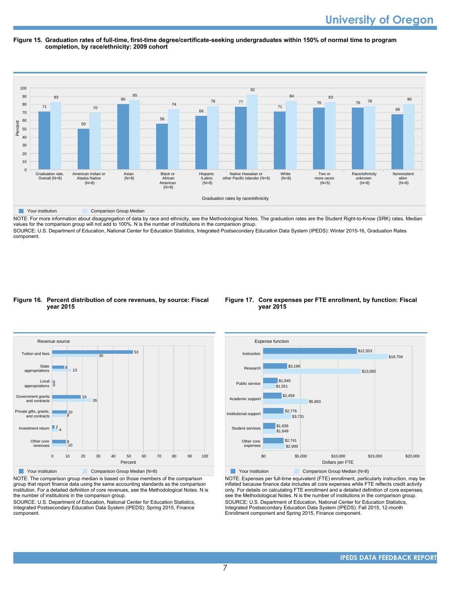#### **Figure 15. Graduation rates of full-time, first-time degree/certificate-seeking undergraduates within 150% of normal time to program completion, by race/ethnicity: 2009 cohort**



NOTE: For more information about disaggregation of data by race and ethnicity, see the Methodological Notes. The graduation rates are the Student Right-to-Know (SRK) rates. Median values for the comparison group will not add to 100%. N is the number of institutions in the comparison group.

SOURCE: U.S. Department of Education, National Center for Education Statistics, Integrated Postsecondary Education Data System (IPEDS): Winter 2015-16, Graduation Rates component.

#### **Figure 16. Percent distribution of core revenues, by source: Fiscal year 2015**



group that report finance data using the same accounting standards as the comparison institution. For a detailed definition of core revenues, see the Methodological Notes. N is the number of institutions in the comparison group.

SOURCE: U.S. Department of Education, National Center for Education Statistics, Integrated Postsecondary Education Data System (IPEDS): Spring 2015, Finance component.

#### **Figure 17. Core expenses per FTE enrollment, by function: Fiscal year 2015**



Your institution **Comparison Group Median (N=8)** NOTE: Expenses per full-time equivalent (FTE) enrollment, particularly instruction, may be inflated because finance data includes all core expenses while FTE reflects credit activity only. For details on calculating FTE enrollment and a detailed definition of core expenses, see the Methodological Notes. N is the number of institutions in the comparison group. SOURCE: U.S. Department of Education, National Center for Education Statistics, Integrated Postsecondary Education Data System (IPEDS): Fall 2015, 12-month Enrollment component and Spring 2015, Finance component.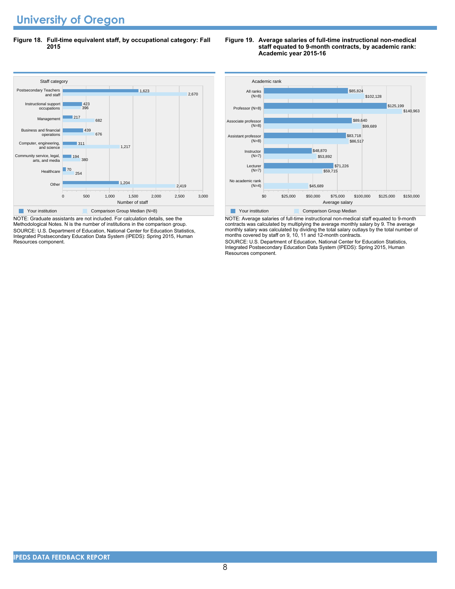**Figure 18. Full-time equivalent staff, by occupational category: Fall 2015**



NOTE: Graduate assistants are not included. For calculation details, see the Methodological Notes. N is the number of institutions in the comparison group. SOURCE: U.S. Department of Education, National Center for Education Statistics, Integrated Postsecondary Education Data System (IPEDS): Spring 2015, Human Resources component.

#### **Figure 19. Average salaries of full-time instructional non-medical staff equated to 9-month contracts, by academic rank: Academic year 2015-16**



NOTE: Average salaries of full-time instructional non-medical staff equated to 9-month contracts was calculated by multiplying the average monthly salary by 9. The average monthly salary was calculated by dividing the total salary outlays by the total number of months covered by staff on 9, 10, 11 and 12-month contracts.

SOURCE: U.S. Department of Education, National Center for Education Statistics, Integrated Postsecondary Education Data System (IPEDS): Spring 2015, Human Resources component.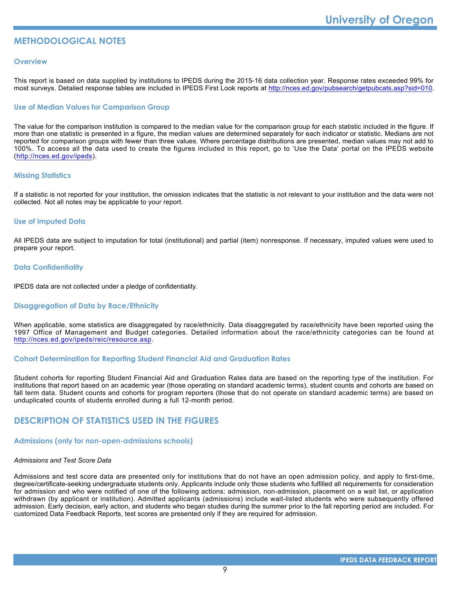# **METHODOLOGICAL NOTES**

#### **Overview**

This report is based on data supplied by institutions to IPEDS during the 2015-16 data collection year. Response rates exceeded 99% for most surveys. Detailed response tables are included in IPEDS First Look reports at [http://nces.ed.gov/pubsearch/getpubcats.asp?sid=010.](http://nces.ed.gov/pubsearch/getpubcats.asp?sid=010)

#### **Use of Median Values for Comparison Group**

The value for the comparison institution is compared to the median value for the comparison group for each statistic included in the figure. If more than one statistic is presented in a figure, the median values are determined separately for each indicator or statistic. Medians are not reported for comparison groups with fewer than three values. Where percentage distributions are presented, median values may not add to 100%. To access all the data used to create the figures included in this report, go to 'Use the Data' portal on the IPEDS website (<http://nces.ed.gov/ipeds>).

#### **Missing Statistics**

If a statistic is not reported for your institution, the omission indicates that the statistic is not relevant to your institution and the data were not collected. Not all notes may be applicable to your report.

#### **Use of Imputed Data**

All IPEDS data are subject to imputation for total (institutional) and partial (item) nonresponse. If necessary, imputed values were used to prepare your report.

#### **Data Confidentiality**

IPEDS data are not collected under a pledge of confidentiality.

#### **Disaggregation of Data by Race/Ethnicity**

When applicable, some statistics are disaggregated by race/ethnicity. Data disaggregated by race/ethnicity have been reported using the 1997 Office of Management and Budget categories. Detailed information about the race/ethnicity categories can be found at <http://nces.ed.gov/ipeds/reic/resource.asp>.

#### **Cohort Determination for Reporting Student Financial Aid and Graduation Rates**

Student cohorts for reporting Student Financial Aid and Graduation Rates data are based on the reporting type of the institution. For institutions that report based on an academic year (those operating on standard academic terms), student counts and cohorts are based on fall term data. Student counts and cohorts for program reporters (those that do not operate on standard academic terms) are based on unduplicated counts of students enrolled during a full 12-month period.

# **DESCRIPTION OF STATISTICS USED IN THE FIGURES**

#### **Admissions (only for non-open-admissions schools)**

#### *Admissions and Test Score Data*

Admissions and test score data are presented only for institutions that do not have an open admission policy, and apply to first-time, degree/certificate-seeking undergraduate students only. Applicants include only those students who fulfilled all requirements for consideration for admission and who were notified of one of the following actions: admission, non-admission, placement on a wait list, or application withdrawn (by applicant or institution). Admitted applicants (admissions) include wait-listed students who were subsequently offered admission. Early decision, early action, and students who began studies during the summer prior to the fall reporting period are included. For customized Data Feedback Reports, test scores are presented only if they are required for admission.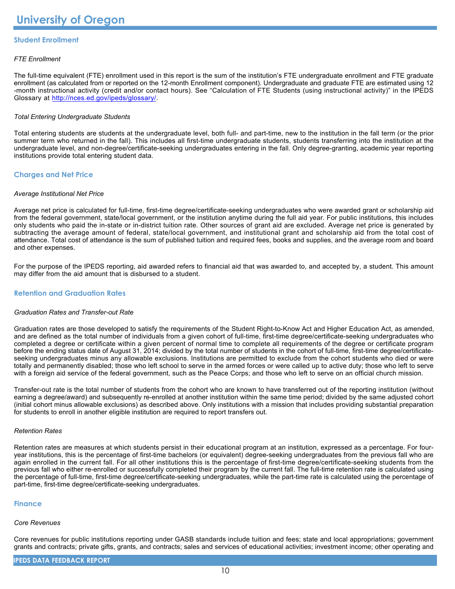### **Student Enrollment**

#### *FTE Enrollment*

The full-time equivalent (FTE) enrollment used in this report is the sum of the institution's FTE undergraduate enrollment and FTE graduate enrollment (as calculated from or reported on the 12-month Enrollment component). Undergraduate and graduate FTE are estimated using 12 -month instructional activity (credit and/or contact hours). See "Calculation of FTE Students (using instructional activity)" in the IPEDS Glossary at <http://nces.ed.gov/ipeds/glossary/>.

#### *Total Entering Undergraduate Students*

Total entering students are students at the undergraduate level, both full- and part-time, new to the institution in the fall term (or the prior summer term who returned in the fall). This includes all first-time undergraduate students, students transferring into the institution at the undergraduate level, and non-degree/certificate-seeking undergraduates entering in the fall. Only degree-granting, academic year reporting institutions provide total entering student data.

#### **Charges and Net Price**

#### *Average Institutional Net Price*

Average net price is calculated for full-time, first-time degree/certificate-seeking undergraduates who were awarded grant or scholarship aid from the federal government, state/local government, or the institution anytime during the full aid year. For public institutions, this includes only students who paid the in-state or in-district tuition rate. Other sources of grant aid are excluded. Average net price is generated by subtracting the average amount of federal, state/local government, and institutional grant and scholarship aid from the total cost of attendance. Total cost of attendance is the sum of published tuition and required fees, books and supplies, and the average room and board and other expenses.

For the purpose of the IPEDS reporting, aid awarded refers to financial aid that was awarded to, and accepted by, a student. This amount may differ from the aid amount that is disbursed to a student.

#### **Retention and Graduation Rates**

#### *Graduation Rates and Transfer-out Rate*

Graduation rates are those developed to satisfy the requirements of the Student Right-to-Know Act and Higher Education Act, as amended, and are defined as the total number of individuals from a given cohort of full-time, first-time degree/certificate-seeking undergraduates who completed a degree or certificate within a given percent of normal time to complete all requirements of the degree or certificate program before the ending status date of August 31, 2014; divided by the total number of students in the cohort of full-time, first-time degree/certificateseeking undergraduates minus any allowable exclusions. Institutions are permitted to exclude from the cohort students who died or were totally and permanently disabled; those who left school to serve in the armed forces or were called up to active duty; those who left to serve with a foreign aid service of the federal government, such as the Peace Corps; and those who left to serve on an official church mission.

Transfer-out rate is the total number of students from the cohort who are known to have transferred out of the reporting institution (without earning a degree/award) and subsequently re-enrolled at another institution within the same time period; divided by the same adjusted cohort (initial cohort minus allowable exclusions) as described above. Only institutions with a mission that includes providing substantial preparation for students to enroll in another eligible institution are required to report transfers out.

#### *Retention Rates*

Retention rates are measures at which students persist in their educational program at an institution, expressed as a percentage. For fouryear institutions, this is the percentage of first-time bachelors (or equivalent) degree-seeking undergraduates from the previous fall who are again enrolled in the current fall. For all other institutions this is the percentage of first-time degree/certificate-seeking students from the previous fall who either re-enrolled or successfully completed their program by the current fall. The full-time retention rate is calculated using the percentage of full-time, first-time degree/certificate-seeking undergraduates, while the part-time rate is calculated using the percentage of part-time, first-time degree/certificate-seeking undergraduates.

#### **Finance**

#### *Core Revenues*

Core revenues for public institutions reporting under GASB standards include tuition and fees; state and local appropriations; government grants and contracts; private gifts, grants, and contracts; sales and services of educational activities; investment income; other operating and